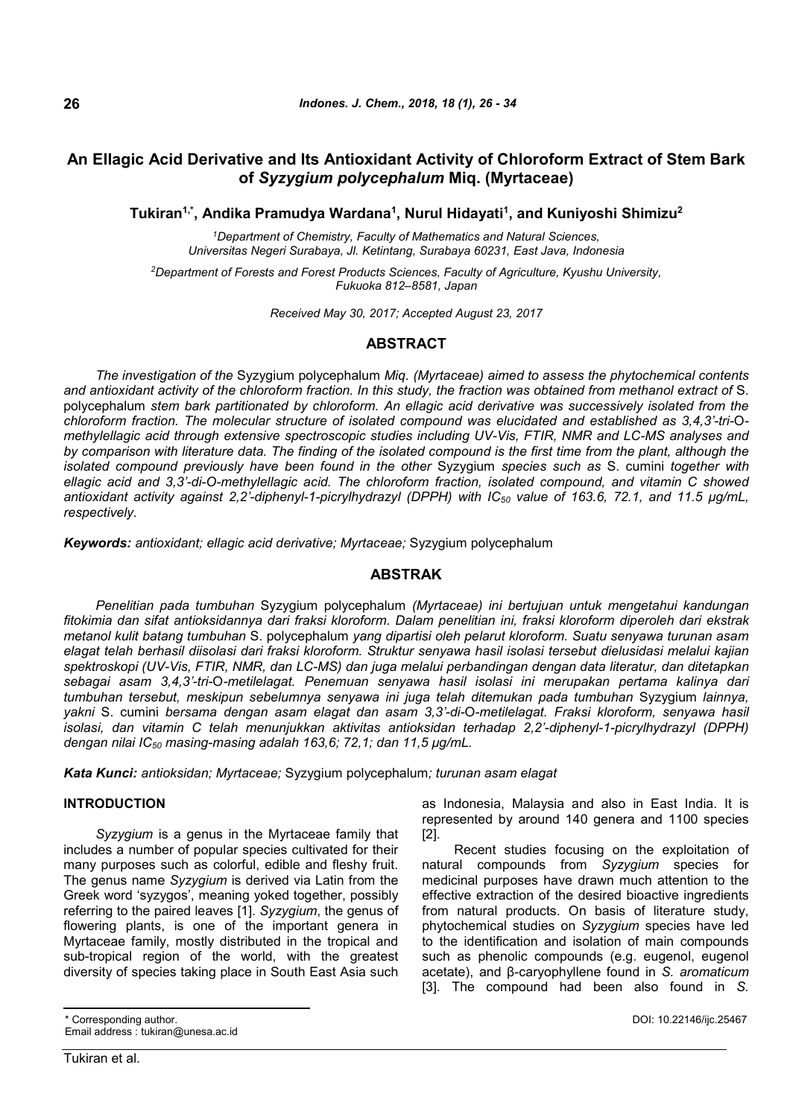# **An Ellagic Acid Derivative and Its Antioxidant Activity of Chloroform Extract of Stem Bark of** *Syzygium polycephalum* **Miq. (Myrtaceae)**

**Tukiran1,\*, Andika Pramudya Wardana<sup>1</sup> , Nurul Hidayati<sup>1</sup> , and Kuniyoshi Shimizu<sup>2</sup>**

*<sup>1</sup>Department of Chemistry, Faculty of Mathematics and Natural Sciences, Universitas Negeri Surabaya, Jl. Ketintang, Surabaya 60231, East Java, Indonesia*

*<sup>2</sup>Department of Forests and Forest Products Sciences, Faculty of Agriculture, Kyushu University, Fukuoka 812–8581, Japan*

*Received May 30, 2017; Accepted August 23, 2017*

# **ABSTRACT**

*The investigation of the* Syzygium polycephalum *Miq. (Myrtaceae) aimed to assess the phytochemical contents and antioxidant activity of the chloroform fraction. In this study, the fraction was obtained from methanol extract of* S. polycephalum *stem bark partitionated by chloroform. An ellagic acid derivative was successively isolated from the chloroform fraction. The molecular structure of isolated compound was elucidated and established as 3,4,3'-tri-*O*methylellagic acid through extensive spectroscopic studies including UV-Vis, FTIR, NMR and LC-MS analyses and by comparison with literature data. The finding of the isolated compound is the first time from the plant, although the isolated compound previously have been found in the other* Syzygium *species such as* S. cumini *together with ellagic acid and 3,3'-di-O-methylellagic acid. The chloroform fraction, isolated compound, and vitamin C showed antioxidant activity against 2,2'-diphenyl-1-picrylhydrazyl (DPPH) with IC<sup>50</sup> value of 163.6, 72.1, and 11.5 μg/mL, respectively.*

*Keywords: antioxidant; ellagic acid derivative; Myrtaceae;* Syzygium polycephalum

# **ABSTRAK**

*Penelitian pada tumbuhan* Syzygium polycephalum *(Myrtaceae) ini bertujuan untuk mengetahui kandungan fitokimia dan sifat antioksidannya dari fraksi kloroform. Dalam penelitian ini, fraksi kloroform diperoleh dari ekstrak metanol kulit batang tumbuhan* S. polycephalum *yang dipartisi oleh pelarut kloroform. Suatu senyawa turunan asam elagat telah berhasil diisolasi dari fraksi kloroform. Struktur senyawa hasil isolasi tersebut dielusidasi melalui kajian spektroskopi (UV-Vis, FTIR, NMR, dan LC-MS) dan juga melalui perbandingan dengan data literatur, dan ditetapkan sebagai asam 3,4,3'-tri-*O*-metilelagat. Penemuan senyawa hasil isolasi ini merupakan pertama kalinya dari tumbuhan tersebut, meskipun sebelumnya senyawa ini juga telah ditemukan pada tumbuhan* Syzygium *lainnya, yakni* S. cumini *bersama dengan asam elagat dan asam 3,3'-di-*O*-metilelagat. Fraksi kloroform, senyawa hasil isolasi, dan vitamin C telah menunjukkan aktivitas antioksidan terhadap 2,2'-diphenyl-1-picrylhydrazyl (DPPH) dengan nilai IC<sup>50</sup> masing-masing adalah 163,6; 72,1; dan 11,5 μg/mL.*

*Kata Kunci: antioksidan; Myrtaceae;* Syzygium polycephalum*; turunan asam elagat*

#### **INTRODUCTION**

*Syzygium* is a genus in the Myrtaceae family that includes a number of popular species cultivated for their many purposes such as colorful, edible and fleshy fruit. The genus name *Syzygium* is derived via Latin from the Greek word 'syzygos', meaning yoked together, possibly referring to the paired leaves [1]. *Syzygium*, the genus of flowering plants, is one of the important genera in Myrtaceae family, mostly distributed in the tropical and sub-tropical region of the world, with the greatest diversity of species taking place in South East Asia such as Indonesia, Malaysia and also in East India. It is represented by around 140 genera and 1100 species [2].

Recent studies focusing on the exploitation of natural compounds from *Syzygium* species for medicinal purposes have drawn much attention to the effective extraction of the desired bioactive ingredients from natural products. On basis of literature study, phytochemical studies on *Syzygium* species have led to the identification and isolation of main compounds such as phenolic compounds (e.g. eugenol, eugenol acetate), and β-caryophyllene found in *S. aromaticum* [3]. The compound had been also found in *S.*

\* Corresponding author. Email address : tukiran@unesa.ac.id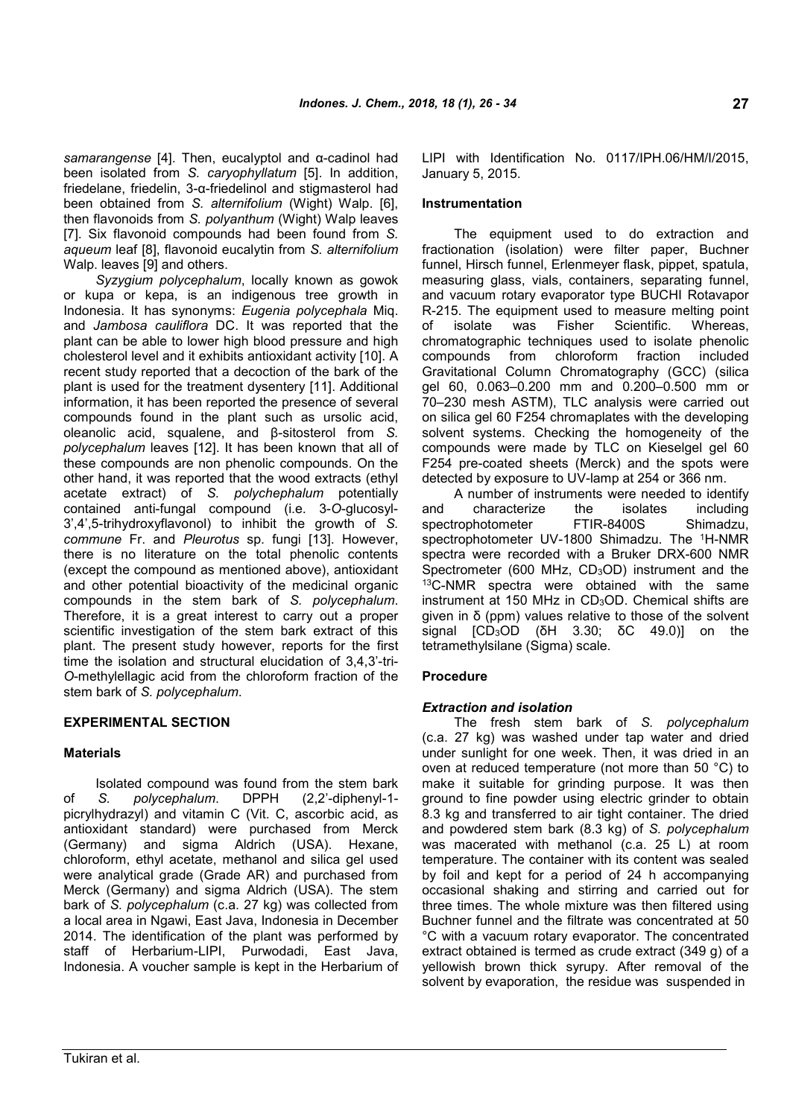*samarangense* [4]. Then, eucalyptol and α-cadinol had been isolated from *S. caryophyllatum* [5]. In addition, friedelane, friedelin, 3-α-friedelinol and stigmasterol had been obtained from *S. alternifolium* (Wight) Walp. [6], then flavonoids from *S. polyanthum* (Wight) Walp leaves [7]. Six flavonoid compounds had been found from *S. aqueum* leaf [8], flavonoid eucalytin from *S. alternifolium* Walp. leaves [9] and others.

*Syzygium polycephalum*, locally known as gowok or kupa or kepa, is an indigenous tree growth in Indonesia. It has synonyms: *Eugenia polycephala* Miq. and *Jambosa cauliflora* DC. It was reported that the plant can be able to lower high blood pressure and high cholesterol level and it exhibits antioxidant activity [10]. A recent study reported that a decoction of the bark of the plant is used for the treatment dysentery [11]. Additional information, it has been reported the presence of several compounds found in the plant such as ursolic acid, oleanolic acid, squalene, and β-sitosterol from *S. polycephalum* leaves [12]. It has been known that all of these compounds are non phenolic compounds. On the other hand, it was reported that the wood extracts (ethyl acetate extract) of *S. polychephalum* potentially contained anti-fungal compound (i.e. 3-*O*-glucosyl-3',4',5-trihydroxyflavonol) to inhibit the growth of *S. commune* Fr. and *Pleurotus* sp. fungi [13]. However, there is no literature on the total phenolic contents (except the compound as mentioned above), antioxidant and other potential bioactivity of the medicinal organic compounds in the stem bark of *S. polycephalum*. Therefore, it is a great interest to carry out a proper scientific investigation of the stem bark extract of this plant. The present study however, reports for the first time the isolation and structural elucidation of 3,4,3'-tri-*O*-methylellagic acid from the chloroform fraction of the stem bark of *S. polycephalum*.

# **EXPERIMENTAL SECTION**

# **Materials**

Isolated compound was found from the stem bark of *S. polycephalum*. DPPH (2,2'-diphenyl-1 picrylhydrazyl) and vitamin C (Vit. C, ascorbic acid, as antioxidant standard) were purchased from Merck (Germany) and sigma Aldrich (USA). Hexane, chloroform, ethyl acetate, methanol and silica gel used were analytical grade (Grade AR) and purchased from Merck (Germany) and sigma Aldrich (USA). The stem bark of *S. polycephalum* (c.a. 27 kg) was collected from a local area in Ngawi, East Java, Indonesia in December 2014. The identification of the plant was performed by staff of Herbarium-LIPI, Purwodadi, East Java, Indonesia. A voucher sample is kept in the Herbarium of LIPI with Identification No. 0117/IPH.06/HM/I/2015, January 5, 2015.

#### **Instrumentation**

The equipment used to do extraction and fractionation (isolation) were filter paper, Buchner funnel, Hirsch funnel, Erlenmeyer flask, pippet, spatula, measuring glass, vials, containers, separating funnel, and vacuum rotary evaporator type BUCHI Rotavapor R-215. The equipment used to measure melting point of isolate was Fisher Scientific. Whereas, chromatographic techniques used to isolate phenolic compounds from chloroform fraction included Gravitational Column Chromatography (GCC) (silica gel 60, 0.063–0.200 mm and 0.200–0.500 mm or 70–230 mesh ASTM), TLC analysis were carried out on silica gel 60 F254 chromaplates with the developing solvent systems. Checking the homogeneity of the compounds were made by TLC on Kieselgel gel 60 F254 pre-coated sheets (Merck) and the spots were detected by exposure to UV-lamp at 254 or 366 nm.

A number of instruments were needed to identify and characterize the isolates including spectrophotometer FTIR-8400S Shimadzu, spectrophotometer UV-1800 Shimadzu. The <sup>1</sup>H-NMR spectra were recorded with a Bruker DRX-600 NMR Spectrometer (600 MHz,  $CD<sub>3</sub>OD$ ) instrument and the <sup>13</sup>C-NMR spectra were obtained with the same instrument at 150 MHz in CD3OD. Chemical shifts are given in δ (ppm) values relative to those of the solvent signal [CD3OD (δH 3.30; δC 49.0)] on the tetramethylsilane (Sigma) scale.

#### **Procedure**

#### *Extraction and isolation*

The fresh stem bark of *S. polycephalum* (c.a. 27 kg) was washed under tap water and dried under sunlight for one week. Then, it was dried in an oven at reduced temperature (not more than 50 °C) to make it suitable for grinding purpose. It was then ground to fine powder using electric grinder to obtain 8.3 kg and transferred to air tight container. The dried and powdered stem bark (8.3 kg) of *S. polycephalum* was macerated with methanol (c.a. 25 L) at room temperature. The container with its content was sealed by foil and kept for a period of 24 h accompanying occasional shaking and stirring and carried out for three times. The whole mixture was then filtered using Buchner funnel and the filtrate was concentrated at 50 °C with a vacuum rotary evaporator. The concentrated extract obtained is termed as crude extract (349 g) of a yellowish brown thick syrupy. After removal of the solvent by evaporation, the residue was suspended in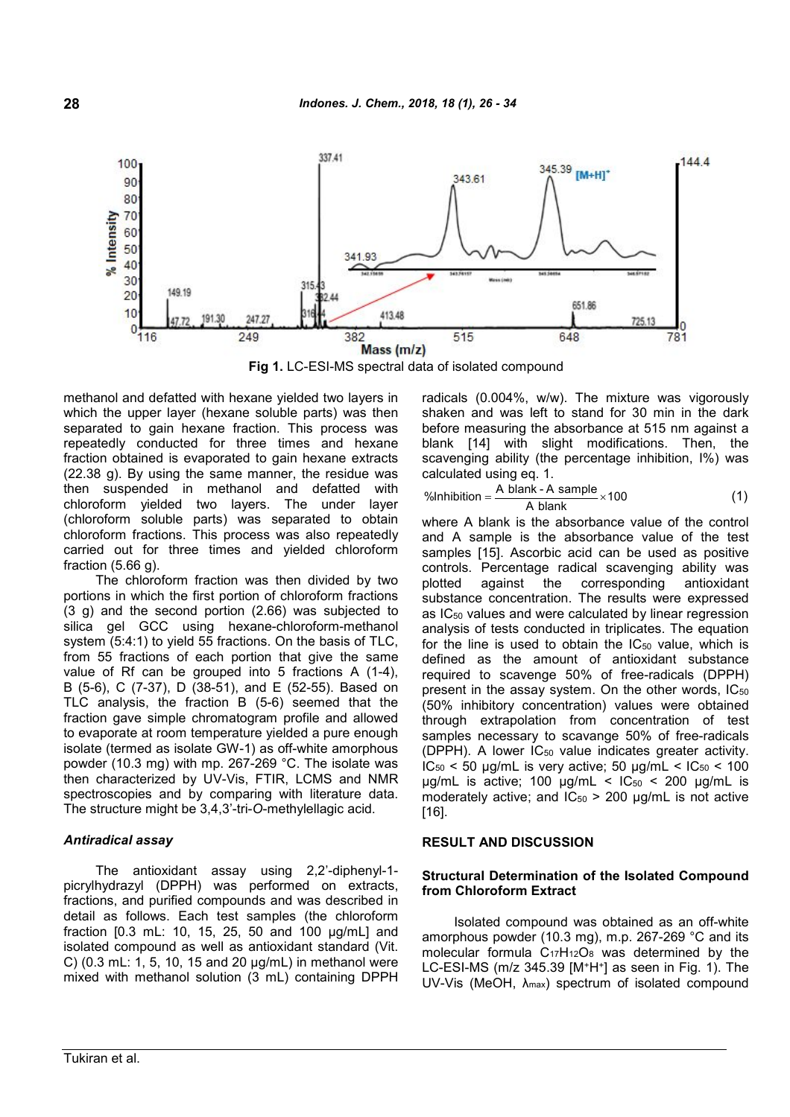

**Fig 1.** LC-ESI-MS spectral data of isolated compound

methanol and defatted with hexane yielded two layers in which the upper layer (hexane soluble parts) was then separated to gain hexane fraction. This process was repeatedly conducted for three times and hexane fraction obtained is evaporated to gain hexane extracts (22.38 g). By using the same manner, the residue was then suspended in methanol and defatted with chloroform yielded two layers. The under layer (chloroform soluble parts) was separated to obtain chloroform fractions. This process was also repeatedly carried out for three times and yielded chloroform fraction (5.66 g).

The chloroform fraction was then divided by two portions in which the first portion of chloroform fractions (3 g) and the second portion (2.66) was subjected to silica gel GCC using hexane-chloroform-methanol system (5:4:1) to yield 55 fractions. On the basis of TLC, from 55 fractions of each portion that give the same value of Rf can be grouped into 5 fractions A (1-4), B (5-6), C (7-37), D (38-51), and E (52-55). Based on TLC analysis, the fraction B (5-6) seemed that the fraction gave simple chromatogram profile and allowed to evaporate at room temperature yielded a pure enough isolate (termed as isolate GW-1) as off-white amorphous powder (10.3 mg) with mp. 267-269 °C. The isolate was then characterized by UV-Vis, FTIR, LCMS and NMR spectroscopies and by comparing with literature data. The structure might be 3,4,3'-tri-*O*-methylellagic acid.

#### *Antiradical assay*

The antioxidant assay using 2,2'-diphenyl-1 picrylhydrazyl (DPPH) was performed on extracts, fractions, and purified compounds and was described in detail as follows. Each test samples (the chloroform fraction [0.3 mL: 10, 15, 25, 50 and 100 μg/mL] and isolated compound as well as antioxidant standard (Vit. C) (0.3 mL: 1, 5, 10, 15 and 20 μg/mL) in methanol were mixed with methanol solution (3 mL) containing DPPH radicals (0.004%, w/w). The mixture was vigorously shaken and was left to stand for 30 min in the dark before measuring the absorbance at 515 nm against a blank [14] with slight modifications. Then, the scavenging ability (the percentage inhibition, I%) was calculated using eq. 1.

$$
\frac{\% \text{Inhibition}}{\text{A blank} - \text{A sample}} \times 100 \tag{1}
$$

where A blank is the absorbance value of the control and A sample is the absorbance value of the test samples [15]. Ascorbic acid can be used as positive controls. Percentage radical scavenging ability was plotted against the corresponding antioxidant substance concentration. The results were expressed as  $IC_{50}$  values and were calculated by linear regression analysis of tests conducted in triplicates. The equation for the line is used to obtain the  $IC_{50}$  value, which is defined as the amount of antioxidant substance required to scavenge 50% of free-radicals (DPPH) present in the assay system. On the other words,  $IC_{50}$ (50% inhibitory concentration) values were obtained through extrapolation from concentration of test samples necessary to scavange 50% of free-radicals (DPPH). A lower IC<sub>50</sub> value indicates greater activity.  $IC_{50}$  < 50 µg/mL is very active; 50 µg/mL <  $IC_{50}$  < 100 μg/mL is active; 100 μg/mL <  $IC_{50}$  < 200 μg/mL is moderately active; and  $IC_{50}$  > 200 µg/mL is not active [16].

#### **RESULT AND DISCUSSION**

#### **Structural Determination of the Isolated Compound from Chloroform Extract**

Isolated compound was obtained as an off-white amorphous powder (10.3 mg), m.p. 267-269 °C and its molecular formula  $C_{17}H_{12}O_8$  was determined by the LC-ESI-MS (m/z 345.39 [M<sup>+</sup>H<sup>+</sup> ] as seen in Fig. 1). The UV-Vis (MeOH,  $\lambda_{\text{max}}$ ) spectrum of isolated compound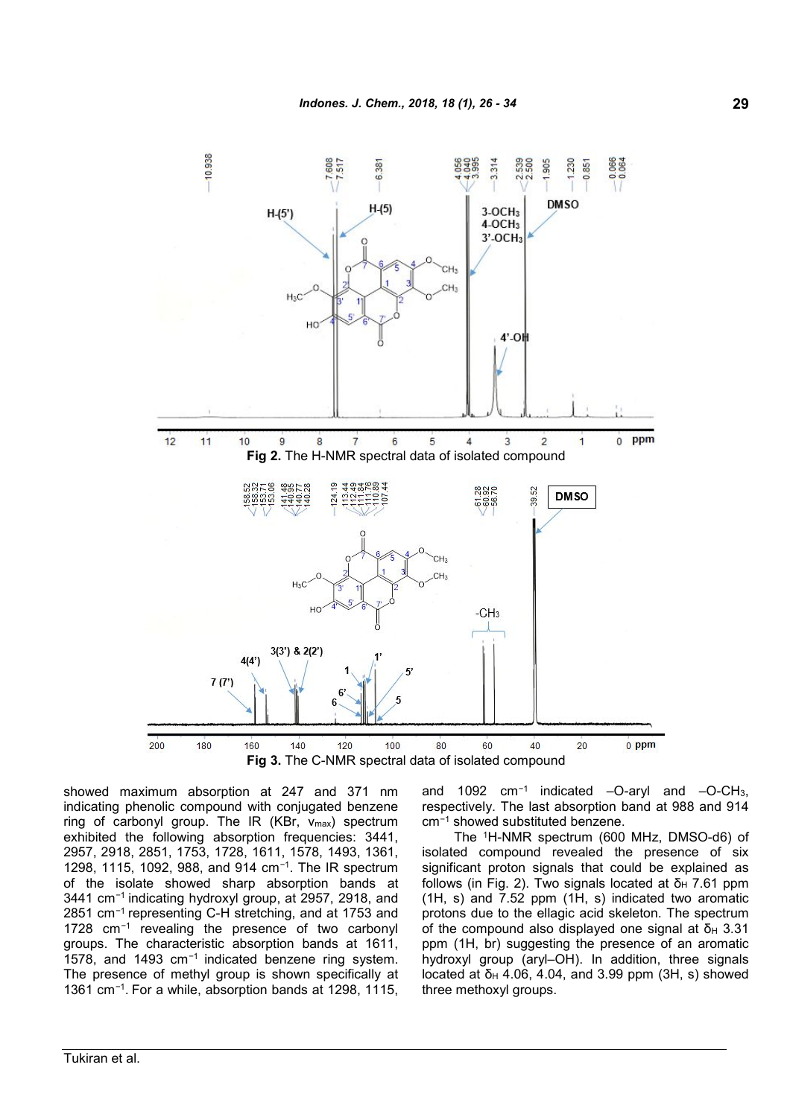

**Fig 3.** The C-NMR spectral data of isolated compound

showed maximum absorption at 247 and 371 nm indicating phenolic compound with conjugated benzene ring of carbonyl group. The IR  $(KBr, v_{max})$  spectrum exhibited the following absorption frequencies: 3441, 2957, 2918, 2851, 1753, 1728, 1611, 1578, 1493, 1361, 1298, 1115, 1092, 988, and 914 cm*<sup>−</sup>*<sup>1</sup> . The IR spectrum of the isolate showed sharp absorption bands at 3441 cm*<sup>−</sup>*<sup>1</sup> indicating hydroxyl group, at 2957, 2918, and 2851 cm*<sup>−</sup>*<sup>1</sup> representing C-H stretching, and at 1753 and 1728 cm*<sup>−</sup>*<sup>1</sup> revealing the presence of two carbonyl groups. The characteristic absorption bands at 1611, 1578, and 1493 cm*<sup>−</sup>*<sup>1</sup> indicated benzene ring system. The presence of methyl group is shown specifically at 1361 cm*<sup>−</sup>*<sup>1</sup> . For a while, absorption bands at 1298, 1115,

and 1092 cm*<sup>−</sup>*<sup>1</sup> indicated –O-aryl and –O-CH3, respectively. The last absorption band at 988 and 914 cm*<sup>−</sup>*<sup>1</sup> showed substituted benzene.

The <sup>1</sup>H-NMR spectrum (600 MHz, DMSO-d6) of isolated compound revealed the presence of six significant proton signals that could be explained as follows (in Fig. 2). Two signals located at  $δ<sub>H</sub>$  7.61 ppm (1H, s) and 7.52 ppm (1H, s) indicated two aromatic protons due to the ellagic acid skeleton. The spectrum of the compound also displayed one signal at δ $H$  3.31 ppm (1H, br) suggesting the presence of an aromatic hydroxyl group (aryl–OH). In addition, three signals located at δ<sub>H</sub> 4.06, 4.04, and 3.99 ppm (3H, s) showed three methoxyl groups.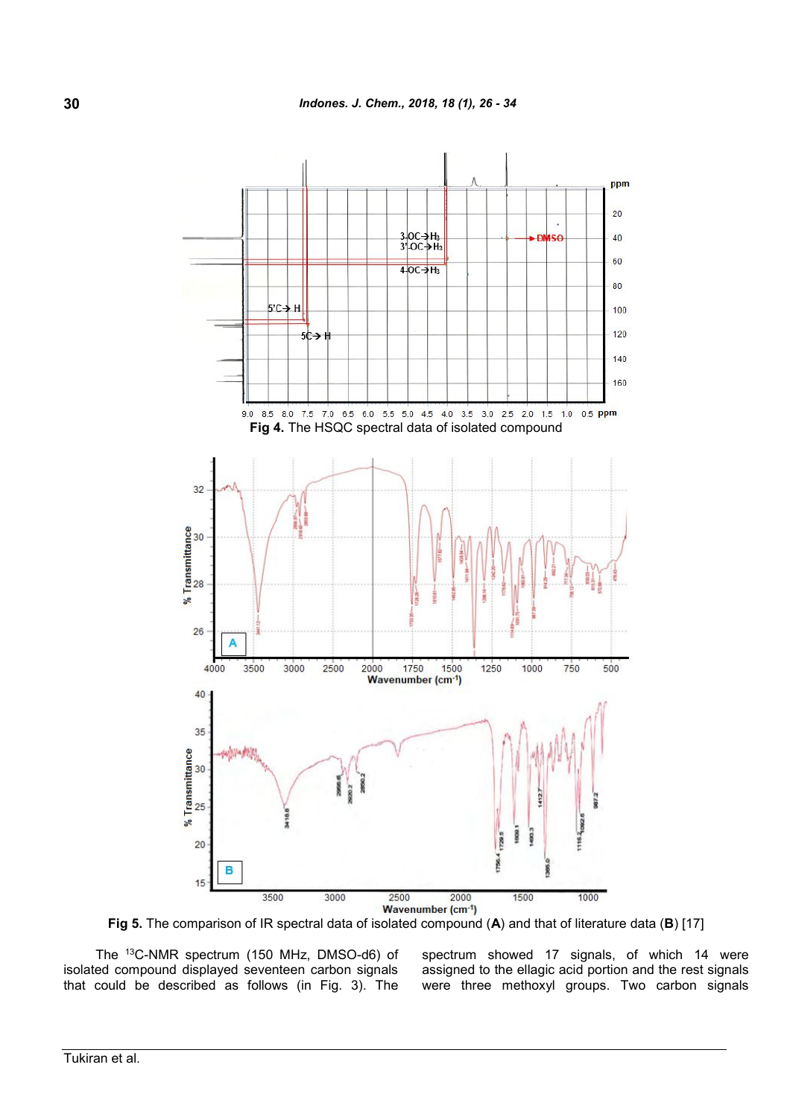

**Fig 5.** The comparison of IR spectral data of isolated compound (**A**) and that of literature data (**B**) [17]

The <sup>13</sup>C-NMR spectrum (150 MHz, DMSO-d6) of isolated compound displayed seventeen carbon signals that could be described as follows (in Fig. 3). The spectrum showed 17 signals, of which 14 were assigned to the ellagic acid portion and the rest signals were three methoxyl groups. Two carbon signals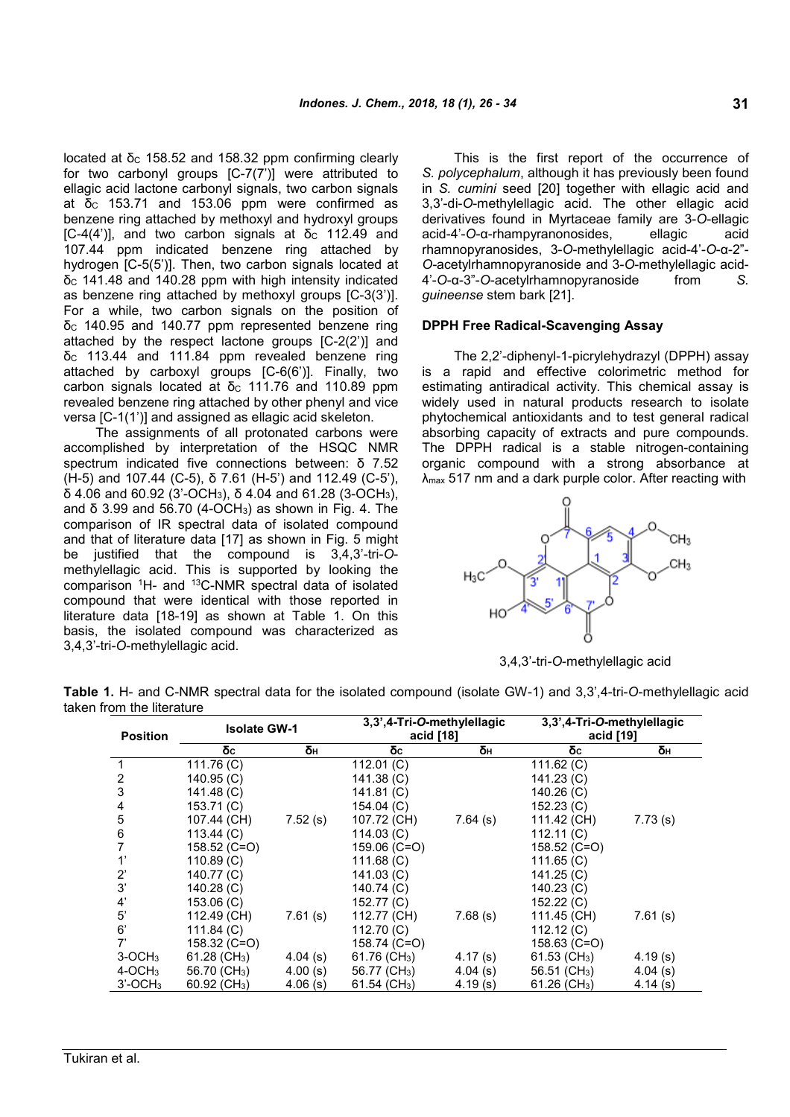located at δ<sub>c</sub> 158.52 and 158.32 ppm confirming clearly for two carbonyl groups [C-7(7')] were attributed to ellagic acid lactone carbonyl signals, two carbon signals at δ $c$  153.71 and 153.06 ppm were confirmed as benzene ring attached by methoxyl and hydroxyl groups [C-4(4')], and two carbon signals at  $\delta_c$  112.49 and 107.44 ppm indicated benzene ring attached by hydrogen [C-5(5')]. Then, two carbon signals located at δ $c$  141.48 and 140.28 ppm with high intensity indicated as benzene ring attached by methoxyl groups [C-3(3')]. For a while, two carbon signals on the position of δ $c$  140.95 and 140.77 ppm represented benzene ring attached by the respect lactone groups [C-2(2')] and  $δ<sub>C</sub>$  113.44 and 111.84 ppm revealed benzene ring attached by carboxyl groups [C-6(6')]. Finally, two carbon signals located at δ<sub>c</sub> 111.76 and 110.89 ppm revealed benzene ring attached by other phenyl and vice versa [C-1(1')] and assigned as ellagic acid skeleton.

The assignments of all protonated carbons were accomplished by interpretation of the HSQC NMR spectrum indicated five connections between: δ 7.52 (H-5) and 107.44 (C-5), δ 7.61 (H-5') and 112.49 (C-5'), δ 4.06 and 60.92 (3'-OCH3), δ 4.04 and 61.28 (3-OCH3), and δ 3.99 and 56.70 (4-OCH<sub>3</sub>) as shown in Fig. 4. The comparison of IR spectral data of isolated compound and that of literature data [17] as shown in Fig. 5 might be justified that the compound is 3,4,3'-tri-*O*methylellagic acid. This is supported by looking the comparison <sup>1</sup>H- and <sup>13</sup>C-NMR spectral data of isolated compound that were identical with those reported in literature data [18-19] as shown at Table 1. On this basis, the isolated compound was characterized as 3,4,3'-tri*-O*-methylellagic acid.

This is the first report of the occurrence of *S. polycephalum*, although it has previously been found in *S. cumini* seed [20] together with ellagic acid and 3,3'-di-*O*-methylellagic acid. The other ellagic acid derivatives found in Myrtaceae family are 3-*O*-ellagic acid-4'-*O*-α-rhampyranonosides, ellagic acid rhamnopyranosides, 3-*O*-methylellagic acid-4'-*O*-α-2"- *O-*acetylrhamnopyranoside and 3-*O*-methylellagic acid-4'-*O*-α-3"-*O*-acetylrhamnopyranoside from *S. guineense* stem bark [21].

# **DPPH Free Radical-Scavenging Assay**

The 2,2'-diphenyl-1-picrylehydrazyl (DPPH) assay is a rapid and effective colorimetric method for estimating antiradical activity. This chemical assay is widely used in natural products research to isolate phytochemical antioxidants and to test general radical absorbing capacity of extracts and pure compounds. The DPPH radical is a stable nitrogen-containing organic compound with a strong absorbance at λmax 517 nm and a dark purple color. After reacting with



3,4,3'-tri*-O*-methylellagic acid

**Table 1.** H- and C-NMR spectral data for the isolated compound (isolate GW-1) and 3,3',4-tri-*O*-methylellagic acid taken from the literature

| <b>Position</b>       | <b>Isolate GW-1</b>      |            | 3,3',4-Tri-O-methylellagic<br>acid [18] |            | 3,3',4-Tri-O-methylellagic<br>acid [19] |            |  |
|-----------------------|--------------------------|------------|-----------------------------------------|------------|-----------------------------------------|------------|--|
|                       | δc                       | δн         | δc                                      | δн         | δc                                      | δн         |  |
|                       | 111.76 (C)               |            | 112.01 (C)                              |            | 111.62 $(C)$                            |            |  |
| 2                     | 140.95 (C)               |            | 141.38 (C)                              |            | 141.23 (C)                              |            |  |
| 3                     | 141.48 (C)               |            | 141.81 (C)                              |            | $140.26$ (C)                            |            |  |
|                       | 153.71 (C)               |            | 154.04 (C)                              |            | 152.23 (C)                              |            |  |
| 5                     | 107.44 (CH)              | 7.52(s)    | 107.72 (CH)                             | $7.64$ (s) | 111.42 (CH)                             | 7.73(s)    |  |
| 6                     | 113.44 (C)               |            | 114.03 (C)                              |            | 112.11(C)                               |            |  |
|                       | 158.52 (C=O)             |            | 159.06 (C=O)                            |            | 158.52 (C=O)                            |            |  |
|                       | 110.89(C)                |            | 111.68 (C)                              |            | 111.65 $(C)$                            |            |  |
| 2'                    | 140.77 (C)               |            | 141.03 (C)                              |            | 141.25(C)                               |            |  |
| 3'                    | 140.28 (C)               |            | 140.74 (C)                              |            | 140.23 (C)                              |            |  |
| 4'                    | 153.06 (C)               |            | 152.77 (C)                              |            | 152.22 (C)                              |            |  |
| 5'                    | 112.49 (CH)              | 7.61(s)    | 112.77 (CH)                             | 7.68(s)    | 111.45 (CH)                             | 7.61(s)    |  |
| 6'                    | 111.84 $(C)$             |            | 112.70 (C)                              |            | 112.12 $(C)$                            |            |  |
| 7'                    | 158.32 (C=O)             |            | 158.74 (C=O)                            |            | 158.63 (C=O)                            |            |  |
| $3-OCH3$              | 61.28 (CH <sub>3</sub> ) | $4.04$ (s) | 61.76 (CH <sub>3</sub> )                | 4.17(s)    | 61.53 (CH <sub>3</sub> )                | 4.19(s)    |  |
| $4$ -OCH <sub>3</sub> | 56.70 (CH <sub>3</sub> ) | 4.00(s)    | 56.77 (CH <sub>3</sub> )                | 4.04(s)    | 56.51 (CH <sub>3</sub> )                | $4.04$ (s) |  |
| $3'-OCH3$             | 60.92 (CH <sub>3</sub> ) | 4.06(s)    | 61.54 ( $CH3$ )                         | 4.19(s)    | 61.26 $(CH3)$                           | 4.14(s)    |  |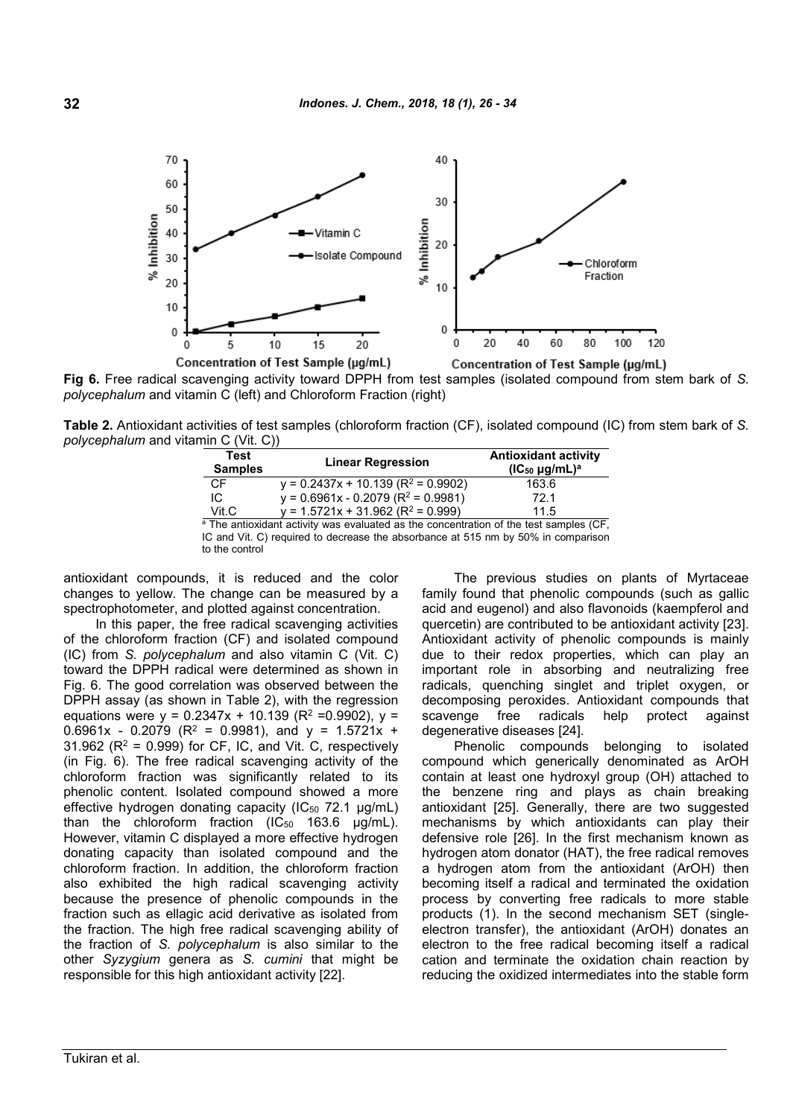

**Fig 6.** Free radical scavenging activity toward DPPH from test samples (isolated compound from stem bark of *S. polycephalum* and vitamin C (left) and Chloroform Fraction (right)

**Table 2.** Antioxidant activities of test samples (chloroform fraction (CF), isolated compound (IC) from stem bark of *S. polycephalum* and vitamin C (Vit. C))

| Test<br><b>Samples</b> | <b>Linear Regression</b>                                                                          | <b>Antioxidant activity</b><br>$(IC_{50} \mu g/mL)^a$ |
|------------------------|---------------------------------------------------------------------------------------------------|-------------------------------------------------------|
| CF                     | $y = 0.2437x + 10.139$ (R <sup>2</sup> = 0.9902)                                                  | 163.6                                                 |
| IC                     | $y = 0.6961x - 0.2079 (R^2 = 0.9981)$                                                             | 72.1                                                  |
| Vit.C                  | $y = 1.5721x + 31.962 (R2 = 0.999)$                                                               | 11.5                                                  |
|                        | <sup>a</sup> The antioxidant activity was evaluated as the concentration of the test samples (CF, |                                                       |

IC and Vit. C) required to decrease the absorbance at 515 nm by 50% in comparison to the control

antioxidant compounds, it is reduced and the color changes to yellow. The change can be measured by a spectrophotometer, and plotted against concentration.

In this paper, the free radical scavenging activities of the chloroform fraction (CF) and isolated compound (IC) from *S. polycephalum* and also vitamin C (Vit. C) toward the DPPH radical were determined as shown in Fig. 6. The good correlation was observed between the DPPH assay (as shown in Table 2), with the regression equations were  $y = 0.2347x + 10.139$  (R<sup>2</sup> = 0.9902),  $y =$ 0.6961x - 0.2079 ( $R^2$  = 0.9981), and  $y$  = 1.5721x + 31.962 ( $R^2$  = 0.999) for CF, IC, and Vit. C, respectively (in Fig. 6). The free radical scavenging activity of the chloroform fraction was significantly related to its phenolic content. Isolated compound showed a more effective hydrogen donating capacity  $(IC_{50} 72.1 \mu g/mL)$ than the chloroform fraction  $(IC_{50}$  163.6  $\mu q/mL)$ . However, vitamin C displayed a more effective hydrogen donating capacity than isolated compound and the chloroform fraction. In addition, the chloroform fraction also exhibited the high radical scavenging activity because the presence of phenolic compounds in the fraction such as ellagic acid derivative as isolated from the fraction. The high free radical scavenging ability of the fraction of *S. polycephalum* is also similar to the other *Syzygium* genera as *S. cumini* that might be responsible for this high antioxidant activity [22].

The previous studies on plants of Myrtaceae family found that phenolic compounds (such as gallic acid and eugenol) and also flavonoids (kaempferol and quercetin) are contributed to be antioxidant activity [23]. Antioxidant activity of phenolic compounds is mainly due to their redox properties, which can play an important role in absorbing and neutralizing free radicals, quenching singlet and triplet oxygen, or decomposing peroxides. Antioxidant compounds that scavenge free radicals help protect against degenerative diseases [24].

Phenolic compounds belonging to isolated compound which generically denominated as ArOH contain at least one hydroxyl group (OH) attached to the benzene ring and plays as chain breaking antioxidant [25]. Generally, there are two suggested mechanisms by which antioxidants can play their defensive role [26]. In the first mechanism known as hydrogen atom donator (HAT), the free radical removes a hydrogen atom from the antioxidant (ArOH) then becoming itself a radical and terminated the oxidation process by converting free radicals to more stable products (1). In the second mechanism SET (singleelectron transfer), the antioxidant (ArOH) donates an electron to the free radical becoming itself a radical cation and terminate the oxidation chain reaction by reducing the oxidized intermediates into the stable form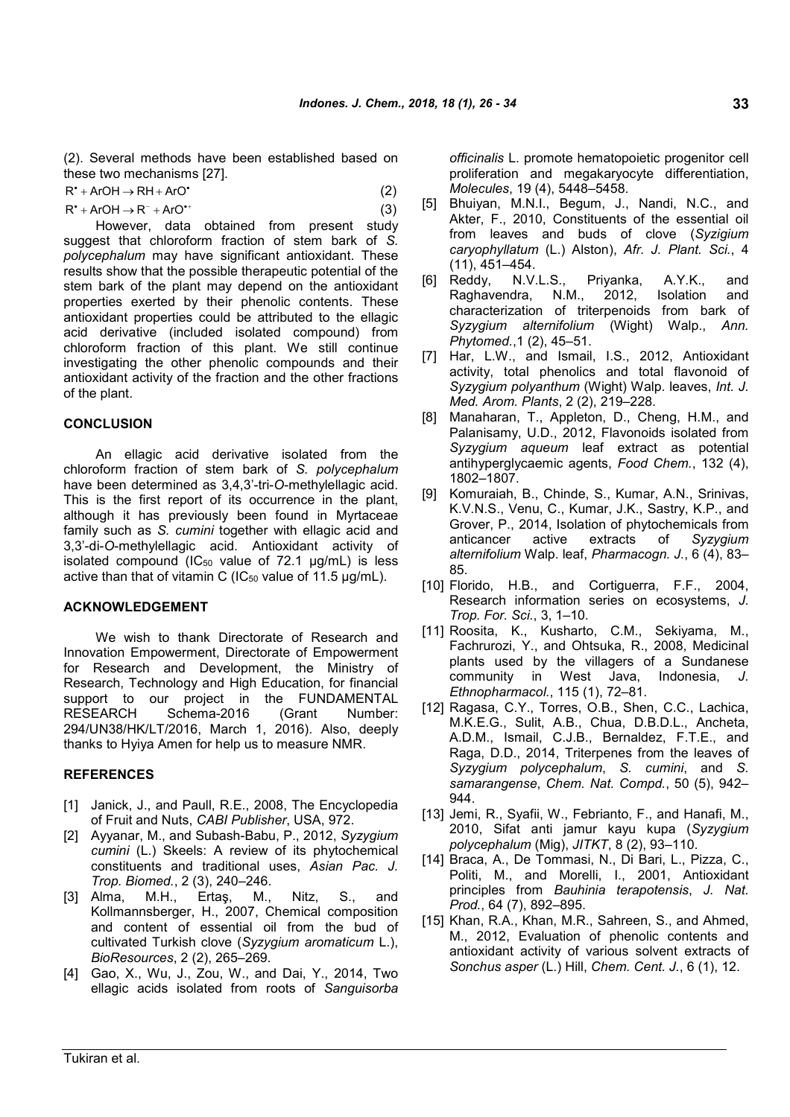(2). Several methods have been established based on these two mechanisms [27].

| $R^*$ + ArOH $\rightarrow$ RH + ArO <sup>*</sup> | (2) |
|--------------------------------------------------|-----|
|                                                  |     |

| $R^*$ + ArOH $\rightarrow$ R <sup>-</sup> + ArO <sup>*+</sup> |  |  |  | (3) |
|---------------------------------------------------------------|--|--|--|-----|
|                                                               |  |  |  |     |

However, data obtained from present study suggest that chloroform fraction of stem bark of *S. polycephalum* may have significant antioxidant. These results show that the possible therapeutic potential of the stem bark of the plant may depend on the antioxidant properties exerted by their phenolic contents. These antioxidant properties could be attributed to the ellagic acid derivative (included isolated compound) from chloroform fraction of this plant. We still continue investigating the other phenolic compounds and their antioxidant activity of the fraction and the other fractions of the plant.

#### **CONCLUSION**

An ellagic acid derivative isolated from the chloroform fraction of stem bark of *S. polycephalum* have been determined as 3,4,3'-tri-*O*-methylellagic acid. This is the first report of its occurrence in the plant, although it has previously been found in Myrtaceae family such as *S. cumini* together with ellagic acid and 3,3'-di-*O*-methylellagic acid. Antioxidant activity of isolated compound ( $IC_{50}$  value of 72.1  $\mu$ g/mL) is less active than that of vitamin C ( $IC_{50}$  value of 11.5  $\mu$ g/mL).

#### **ACKNOWLEDGEMENT**

We wish to thank Directorate of Research and Innovation Empowerment, Directorate of Empowerment for Research and Development, the Ministry of Research, Technology and High Education, for financial support to our project in the FUNDAMENTAL RESEARCH Schema-2016 (Grant Number: 294/UN38/HK/LT/2016, March 1, 2016). Also, deeply thanks to Hyiya Amen for help us to measure NMR.

#### **REFERENCES**

- [1] Janick, J., and Paull, R.E., 2008, The Encyclopedia of Fruit and Nuts, *CABI Publisher*, USA, 972.
- [2] Ayyanar, M., and Subash-Babu, P., 2012, *Syzygium cumini* (L.) Skeels: A review of its phytochemical constituents and traditional uses, *Asian Pac. J. Trop. Biomed.*, 2 (3), 240–246.
- [3] Alma, M.H., Ertaş, M., Nitz, S., and Kollmannsberger, H., 2007, Chemical composition and content of essential oil from the bud of cultivated Turkish clove (*Syzygium aromaticum* L.), *BioResources*, 2 (2), 265–269.
- [4] Gao, X., Wu, J., Zou, W., and Dai, Y., 2014, Two ellagic acids isolated from roots of *Sanguisorba*

*officinalis* L. promote hematopoietic progenitor cell proliferation and megakaryocyte differentiation, *Molecules*, 19 (4), 5448–5458.

- [5] Bhuiyan, M.N.I., Begum, J., Nandi, N.C., and Akter, F., 2010, Constituents of the essential oil from leaves and buds of clove (*Syzigium caryophyllatum* (L.) Alston), *Afr. J. Plant. Sci.*, 4 (11), 451–454.
- [6] Reddy, N.V.L.S., Priyanka, A.Y.K., and Raghavendra, N.M., 2012, Isolation and characterization of triterpenoids from bark of *Syzygium alternifolium* (Wight) Walp., *Ann. Phytomed.*,1 (2), 45–51.
- [7] Har, L.W., and Ismail, I.S., 2012, Antioxidant activity, total phenolics and total flavonoid of *Syzygium polyanthum* (Wight) Walp. leaves, *Int. J. Med. Arom. Plants*, 2 (2), 219–228.
- [8] Manaharan, T., Appleton, D., Cheng, H.M., and Palanisamy, U.D., 2012, Flavonoids isolated from *Syzygium aqueum* leaf extract as potential antihyperglycaemic agents, *Food Chem.*, 132 (4), 1802–1807.
- [9] Komuraiah, B., Chinde, S., Kumar, A.N., Srinivas, K.V.N.S., Venu, C., Kumar, J.K., Sastry, K.P., and Grover, P., 2014, Isolation of phytochemicals from anticancer active extracts of *Syzygium alternifolium* Walp. leaf, *Pharmacogn. J.*, 6 (4), 83– 85.
- [10] Florido, H.B., and Cortiguerra, F.F., 2004, Research information series on ecosystems, *J. Trop. For. Sci.*, 3, 1–10.
- [11] Roosita, K., Kusharto, C.M., Sekiyama, M., Fachrurozi, Y., and Ohtsuka, R., 2008, Medicinal plants used by the villagers of a Sundanese community in West Java, Indonesia, *J. Ethnopharmacol.*, 115 (1), 72–81.
- [12] Ragasa, C.Y., Torres, O.B., Shen, C.C., Lachica, M.K.E.G., Sulit, A.B., Chua, D.B.D.L., Ancheta, A.D.M., Ismail, C.J.B., Bernaldez, F.T.E., and Raga, D.D., 2014, Triterpenes from the leaves of *Syzygium polycephalum*, *S. cumini*, and *S. samarangense*, *Chem. Nat. Compd.*, 50 (5), 942– 944.
- [13] Jemi, R., Syafii, W., Febrianto, F., and Hanafi, M., 2010, Sifat anti jamur kayu kupa (*Syzygium polycephalum* (Mig), *JITKT*, 8 (2), 93–110.
- [14] Braca, A., De Tommasi, N., Di Bari, L., Pizza, C., Politi, M., and Morelli, I., 2001, Antioxidant principles from *Bauhinia terapotensis*, *J. Nat. Prod.*, 64 (7), 892–895.
- [15] Khan, R.A., Khan, M.R., Sahreen, S., and Ahmed, M., 2012, Evaluation of phenolic contents and antioxidant activity of various solvent extracts of *Sonchus asper* (L.) Hill, *Chem. Cent. J.*, 6 (1), 12.